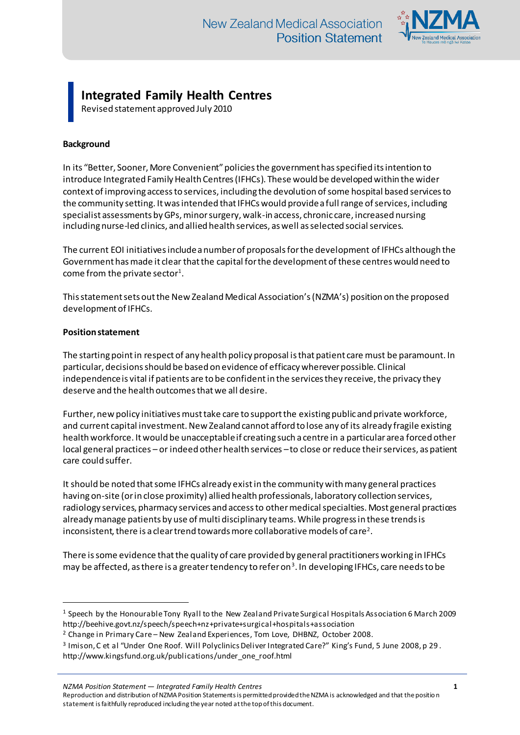

## **Integrated Family Health Centres**

Revised statement approved July 2010

## **Background**

In its "Better, Sooner, More Convenient" policies the government has specified its intention to introduce Integrated Family Health Centres (IFHCs). These would be developed within the wider context of improving access to services, including the devolution of some hospital based services to the community setting. It was intended that IFHCs would provide a full range of services, including specialist assessments by GPs, minor surgery, walk-in access, chronic care, increased nursing including nurse-led clinics, and allied health services, as well as selected social services.

The current EOI initiatives include a number of proposals for the development of IFHCs although the Government has made it clear that the capital for the development of these centres would need to come from the private sector $^{\rm 1}.$ 

This statement sets out the New Zealand Medical Association's (NZMA's) position on the proposed development of IFHCs.

## **Position statement**

 $\overline{a}$ 

The starting point in respect of any health policy proposal is that patient care must be paramount. In particular, decisions should be based on evidence of efficacy wherever possible. Clinical independence is vital if patients are to be confident in the services they receive, the privacy they deserve and the health outcomes that we all desire.

Further, new policy initiatives must take care to support the existing public and private workforce, and current capital investment. New Zealand cannot afford to lose any of its already fragile existing health workforce. It would be unacceptable if creating such a centre in a particular area forced other local general practices – or indeed other health services –to close or reduce their services, as patient care could suffer.

It should be noted that some IFHCs already exist in the community with many general practices having on-site (or in close proximity) allied health professionals, laboratory collection services, radiology services, pharmacy services and access to other medical specialties. Most general practices already manage patients by use of multi disciplinary teams. While progress in these trends is inconsistent, there is a clear trend towards more collaborative models of care<sup>2</sup>.

There is some evidence that the quality of care provided by general practitioners working in IFHCs may be affected, as there is a greater tendency to refer on $^3$ . In developing IFHCs, care needs to be

*NZMA Position Statement — Integrated Family Health Centres* **1**

Reproduction and distribution of NZMA Position Statements is permitted provided the NZMA is acknowledged and that the position statement is faithfully reproduced including the year noted at the top of this document.

<sup>1</sup> Speech by the Honourable Tony Ryall to the New Zealand Private Surgical Hospitals Association 6 March 2009 http://beehive.govt.nz/speech/speech+nz+private+surgical+hospitals+association

<sup>2</sup> Change in Primary Care – New Zealand Experiences, Tom Love, DHBNZ, October 2008.

<sup>&</sup>lt;sup>3</sup> Imison, C et al "Under One Roof. Will Polyclinics Deliver Integrated Care?" King's Fund, 5 June 2008, p 29. http://www.kingsfund.org.uk/publications/under\_one\_roof.html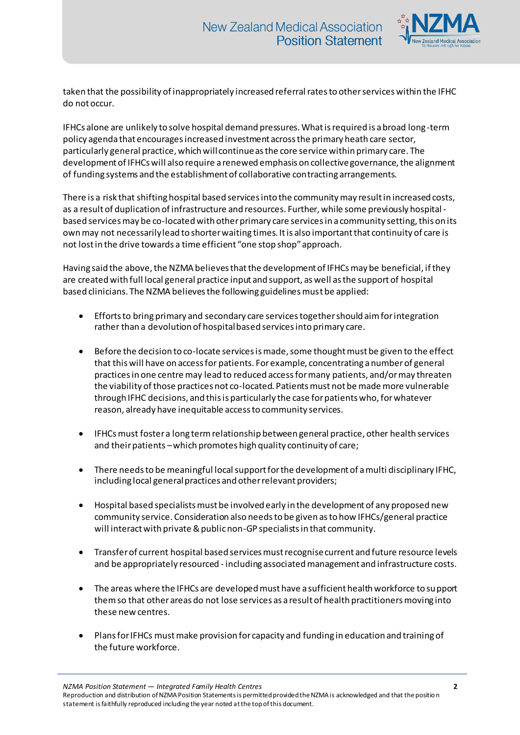

taken that the possibility of inappropriately increased referral rates to other services within the IFHC do not occur.

IFHCs alone are unlikely to solve hospital demand pressures. What is required is a broad long-term policy agenda that encourages increased investment across the primary heath care sector, particularly general practice, which will continue as the core service within primary care. The development of IFHCs will also require a renewed emphasis on collective governance, the alignment of funding systems and the establishment of collaborative contracting arrangements.

There is a risk that shifting hospital based services into the community may result in increased costs, as a result of duplication of infrastructure and resources. Further, while some previously hospitalbased services may be co-located with other primary care services in a community setting, this on its own may not necessarily lead to shorter waiting times. It is also important that continuity of care is not lost in the drive towards a time efficient "one stop shop" approach.

Having said the above, the NZMA believes that the development of IFHCs may be beneficial, if they are created with full local general practice input and support, as well as the support of hospital based clinicians. The NZMA believes the following guidelines must be applied:

- Efforts to bring primary and secondary care services together should aim for integration rather than a devolution of hospital based services into primary care.
- Before the decision to co-locate services is made, some thought must be given to the effect that this will have on access for patients. For example, concentrating a number of general practices in one centre may lead to reduced access for many patients, and/or may threaten the viability of those practices not co-located. Patients must not be made more vulnerable through IFHC decisions, and this is particularly the case for patients who, for whatever reason, already have inequitable access to community services.
- IFHCs must foster a long term relationship between general practice, other health services and their patients –which promotes high quality continuity of care;
- There needs to be meaningful local support for the development of a multi disciplinary IFHC, including local general practices and other relevant providers;
- Hospital based specialists must be involved early in the development of any proposed new community service. Consideration also needs to be given as to how IFHCs/general practice will interact with private & public non-GP specialists in that community.
- Transfer of current hospital based services must recognise current and future resource levels and be appropriately resourced - including associated management and infrastructure costs.
- The areas where the IFHCs are developed must have a sufficient health workforce to support them so that other areas do not lose services as a result of health practitioners moving into these new centres.
- Plans for IFHCs must make provision for capacity and funding in education and training of the future workforce.